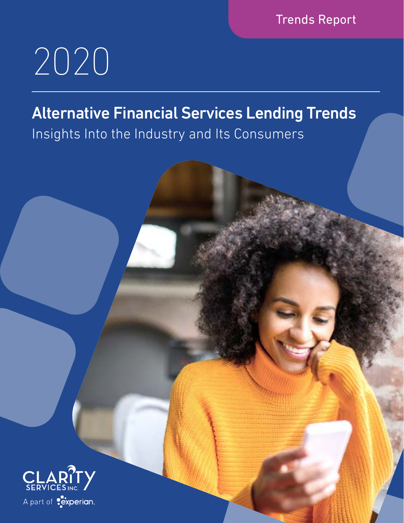Trends Report

1 | clarityservices.com

# 2020

## Alternative Financial Services Lending Trends

Insights Into the Industry and Its Consumers

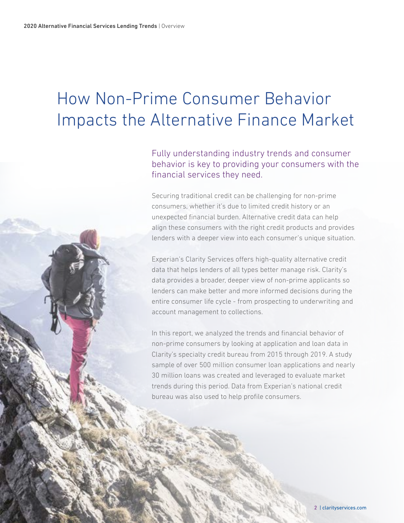## How Non-Prime Consumer Behavior Impacts the Alternative Finance Market

Fully understanding industry trends and consumer behavior is key to providing your consumers with the financial services they need.

Securing traditional credit can be challenging for non-prime consumers, whether it's due to limited credit history or an unexpected financial burden. Alternative credit data can help align these consumers with the right credit products and provides lenders with a deeper view into each consumer's unique situation.

Experian's Clarity Services offers high-quality alternative credit data that helps lenders of all types better manage risk. Clarity's data provides a broader, deeper view of non-prime applicants so lenders can make better and more informed decisions during the entire consumer life cycle - from prospecting to underwriting and account management to collections.

In this report, we analyzed the trends and financial behavior of non-prime consumers by looking at application and loan data in Clarity's specialty credit bureau from 2015 through 2019. A study sample of over 500 million consumer loan applications and nearly 30 million loans was created and leveraged to evaluate market trends during this period. Data from Experian's national credit bureau was also used to help profile consumers.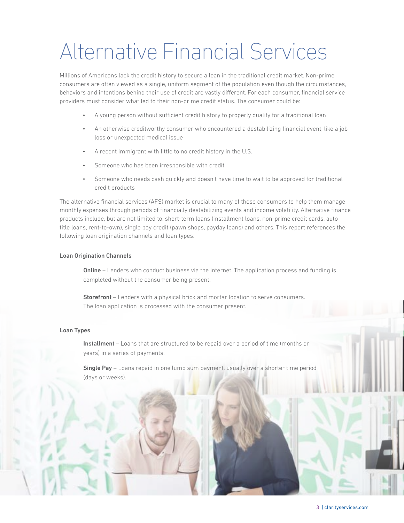## Alternative Financial Services

Millions of Americans lack the credit history to secure a loan in the traditional credit market. Non-prime consumers are often viewed as a single, uniform segment of the population even though the circumstances, behaviors and intentions behind their use of credit are vastly different. For each consumer, financial service providers must consider what led to their non-prime credit status. The consumer could be:

- A young person without sufficient credit history to properly qualify for a traditional loan
- An otherwise creditworthy consumer who encountered a destabilizing financial event, like a job loss or unexpected medical issue
- A recent immigrant with little to no credit history in the U.S.
- Someone who has been irresponsible with credit
- Someone who needs cash quickly and doesn't have time to wait to be approved for traditional credit products

The alternative financial services (AFS) market is crucial to many of these consumers to help them manage monthly expenses through periods of financially destabilizing events and income volatility. Alternative finance products include, but are not limited to, short-term loans (installment loans, non-prime credit cards, auto title loans, rent-to-own), single pay credit (pawn shops, payday loans) and others. This report references the following loan origination channels and loan types:

#### Loan Origination Channels

**Online** – Lenders who conduct business via the internet. The application process and funding is completed without the consumer being present.

Storefront – Lenders with a physical brick and mortar location to serve consumers. The loan application is processed with the consumer present.

#### Loan Types

Installment – Loans that are structured to be repaid over a period of time (months or years) in a series of payments.

Single Pay – Loans repaid in one lump sum payment, usually over a shorter time period (days or weeks).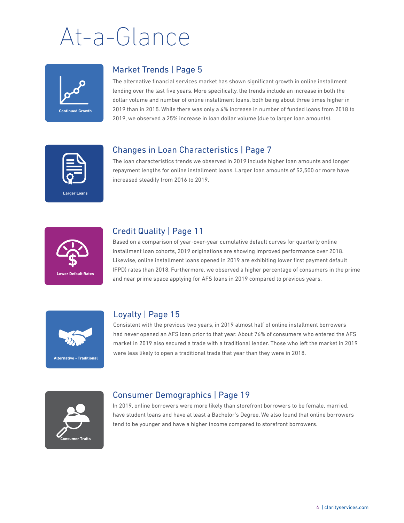# At-a-Glance



#### Market Trends | Page 5

The alternative financial services market has shown significant growth in online installment lending over the last five years. More specifically, the trends include an increase in both the dollar volume and number of online installment loans, both being about three times higher in 2019 than in 2015. While there was only a 4% increase in number of funded loans from 2018 to 2019, we observed a 25% increase in loan dollar volume (due to larger loan amounts).

#### Changes in Loan Characteristics | Page 7

**Larger Loans**

The loan characteristics trends we observed in 2019 include higher loan amounts and longer repayment lengths for online installment loans. Larger loan amounts of \$2,500 or more have increased steadily from 2016 to 2019.



#### Credit Quality | Page 11

Based on a comparison of year-over-year cumulative default curves for quarterly online installment loan cohorts, 2019 originations are showing improved performance over 2018. Likewise, online installment loans opened in 2019 are exhibiting lower first payment default (FPD) rates than 2018. Furthermore, we observed a higher percentage of consumers in the prime and near prime space applying for AFS loans in 2019 compared to previous years.



#### Loyalty | Page 15

Consistent with the previous two years, in 2019 almost half of online installment borrowers had never opened an AFS loan prior to that year. About 76% of consumers who entered the AFS market in 2019 also secured a trade with a traditional lender. Those who left the market in 2019 were less likely to open a traditional trade that year than they were in 2018.



#### Consumer Demographics | Page 19

In 2019, online borrowers were more likely than storefront borrowers to be female, married, have student loans and have at least a Bachelor's Degree. We also found that online borrowers tend to be younger and have a higher income compared to storefront borrowers.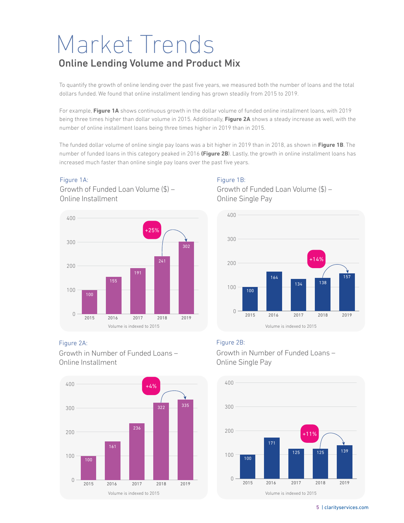## Market Trends Online Lending Volume and Product Mix

To quantify the growth of online lending over the past five years, we measured both the number of loans and the total dollars funded. We found that online installment lending has grown steadily from 2015 to 2019.

For example, **Figure 1A** shows continuous growth in the dollar volume of funded online installment loans, with 2019 being three times higher than dollar volume in 2015. Additionally, **Figure 2A** shows a steady increase as well, with the number of online installment loans being three times higher in 2019 than in 2015.

The funded dollar volume of online single pay loans was a bit higher in 2019 than in 2018, as shown in **Figure 1B**. The number of funded loans in this category peaked in 2016 **(Figure 2B**). Lastly, the growth in online installment loans has increased much faster than online single pay loans over the past five years.

#### Figure 1A:

Growth of Funded Loan Volume (\$) – Online Installment



#### Figure 2A:

Growth in Number of Funded Loans – Online Installment



#### Figure 1B:

Growth of Funded Loan Volume (\$) – Online Single Pay



#### Figure 2B:

Growth in Number of Funded Loans – Online Single Pay

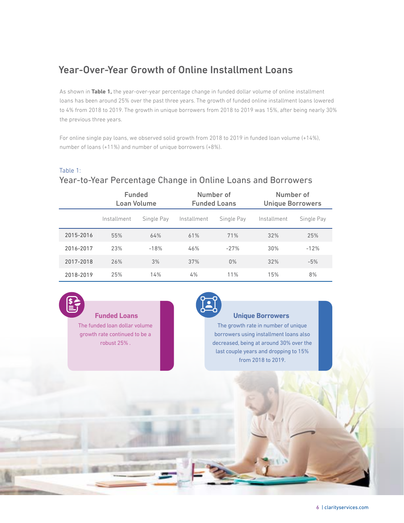#### Year-Over-Year Growth of Online Installment Loans

As shown in **Table 1,** the year-over-year percentage change in funded dollar volume of online installment loans has been around 25% over the past three years. The growth of funded online installment loans lowered to 4% from 2018 to 2019. The growth in unique borrowers from 2018 to 2019 was 15%, after being nearly 30% the previous three years.

For online single pay loans, we observed solid growth from 2018 to 2019 in funded loan volume (+14%), number of loans (+11%) and number of unique borrowers (+8%).

#### Table 1:

#### Year-to-Year Percentage Change in Online Loans and Borrowers

|           | <b>Funded</b><br>Loan Volume |            |             | Number of<br><b>Funded Loans</b> | Number of<br><b>Unique Borrowers</b> |            |  |
|-----------|------------------------------|------------|-------------|----------------------------------|--------------------------------------|------------|--|
|           | Installment                  | Single Pay | Installment | Single Pay                       | Installment                          | Single Pay |  |
| 2015-2016 | 55%                          | 64%        | 61%         | 71%                              | 32%                                  | 25%        |  |
| 2016-2017 | 23%                          | $-18%$     | 46%         | $-27%$                           | 30%                                  | $-12%$     |  |
| 2017-2018 | 26%                          | 3%         | 37%         | 0%                               | 32%                                  | $-5%$      |  |
| 2018-2019 | 25%                          | 14%        | 4%          | 11%                              | 15%                                  | 8%         |  |



#### **Funded Loans**

The funded loan dollar volume growth rate continued to be a robust 25% .

#### **Unique Borrowers**

The growth rate in number of unique borrowers using installment loans also decreased, being at around 30% over the last couple years and dropping to 15% from 2018 to 2019.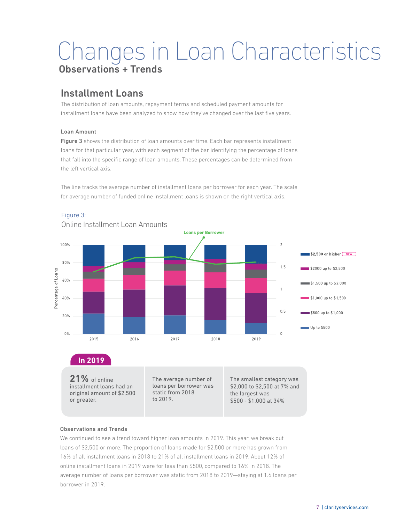### Changes in Loan Characteristics Observations + Trends

#### Installment Loans

The distribution of loan amounts, repayment terms and scheduled payment amounts for installment loans have been analyzed to show how they've changed over the last five years.

#### Loan Amount

Figure 3 shows the distribution of loan amounts over time. Each bar represents installment loans for that particular year, with each segment of the bar identifying the percentage of loans that fall into the specific range of loan amounts. These percentages can be determined from the left vertical axis.

The line tracks the average number of installment loans per borrower for each year. The scale for average number of funded online installment loans is shown on the right vertical axis.



#### Figure 3:

**21%** of online installment loans had an original amount of \$2,500 or greater.

The average number of loans per borrower was static from 2018 to 2019.

The smallest category was \$2,000 to \$2,500 at 7% and the largest was \$500 - \$1,000 at 34%

#### Observations and Trends

We continued to see a trend toward higher loan amounts in 2019. This year, we break out loans of \$2,500 or more. The proportion of loans made for \$2,500 or more has grown from 16% of all installment loans in 2018 to 21% of all installment loans in 2019. About 12% of online installment loans in 2019 were for less than \$500, compared to 16% in 2018. The average number of loans per borrower was static from 2018 to 2019—staying at 1.6 loans per borrower in 2019.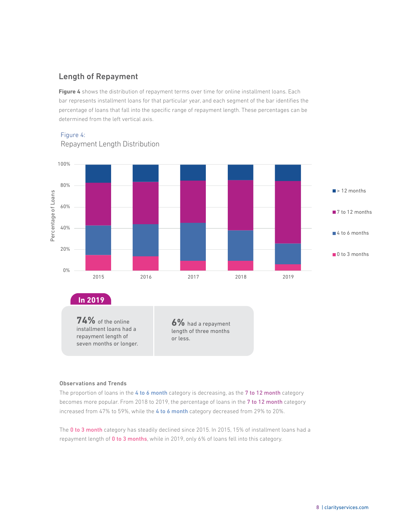Figure 4 shows the distribution of repayment terms over time for online installment loans. Each bar represents installment loans for that particular year, and each segment of the bar identifies the percentage of loans that fall into the specific range of repayment length. These percentages can be determined from the left vertical axis.



#### Figure 4:

#### Observations and Trends

The proportion of loans in the 4 to 6 month category is decreasing, as the 7 to 12 month category becomes more popular. From 2018 to 2019, the percentage of loans in the 7 to 12 month category increased from 47% to 59%, while the 4 to 6 month category decreased from 29% to 20%.

The 0 to 3 month category has steadily declined since 2015. In 2015, 15% of installment loans had a repayment length of 0 to 3 months, while in 2019, only 6% of loans fell into this category.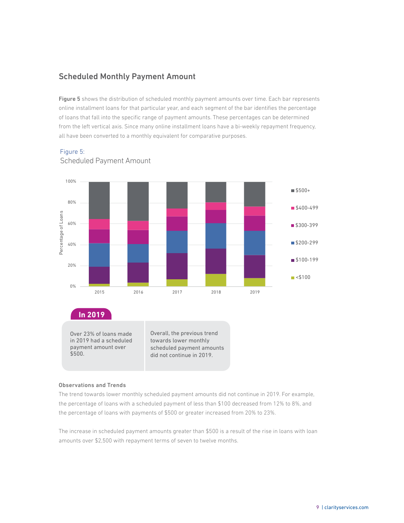#### Scheduled Monthly Payment Amount

Figure 5 shows the distribution of scheduled monthly payment amounts over time. Each bar represents online installment loans for that particular year, and each segment of the bar identifies the percentage of loans that fall into the specific range of payment amounts. These percentages can be determined from the left vertical axis. Since many online installment loans have a bi-weekly repayment frequency, all have been converted to a monthly equivalent for comparative purposes.



#### Figure 5:



towards lower monthly scheduled payment amounts did not continue in 2019.

#### Observations and Trends

\$500.

in 2019 had a scheduled payment amount over

The trend towards lower monthly scheduled payment amounts did not continue in 2019. For example, the percentage of loans with a scheduled payment of less than \$100 decreased from 12% to 8%, and the percentage of loans with payments of \$500 or greater increased from 20% to 23%.

The increase in scheduled payment amounts greater than \$500 is a result of the rise in loans with loan amounts over \$2,500 with repayment terms of seven to twelve months.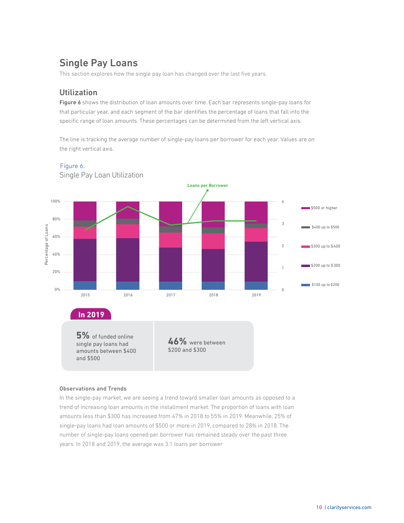### Single Pay Loans

This section explores how the single pay loan has changed over the last five years.

#### Utilization

Figure 6 shows the distribution of loan amounts over time. Each bar represents single-pay loans for that particular year, and each segment of the bar identifies the percentage of loans that fall into the specific range of loan amounts. These percentages can be determined from the left vertical axis.

The line is tracking the average number of single-pay loans per borrower for each year. Values are on the right vertical axis.



Single Pay Loan Utilization Figure 6:

#### Observations and Trends

In the single-pay market, we are seeing a trend toward smaller loan amounts as opposed to a trend of increasing loan amounts in the installment market. The proportion of loans with loan amounts less than \$300 has increased from 47% in 2018 to 55% in 2019. Meanwhile, 25% of single-pay loans had loan amounts of \$500 or more in 2019, compared to 28% in 2018. The number of single-pay loans opened per borrower has remained steady over the past three years. In 2018 and 2019, the average was 3.1 loans per borrower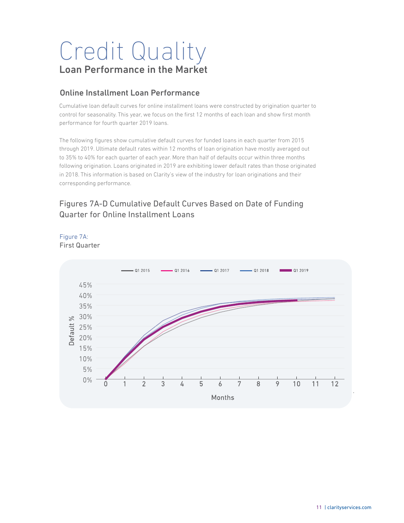## Credit Quality Loan Performance in the Market

#### Online Installment Loan Performance

Cumulative loan default curves for online installment loans were constructed by origination quarter to control for seasonality. This year, we focus on the first 12 months of each loan and show first month performance for fourth quarter 2019 loans.

The following figures show cumulative default curves for funded loans in each quarter from 2015 through 2019. Ultimate default rates within 12 months of loan origination have mostly averaged out to 35% to 40% for each quarter of each year. More than half of defaults occur within three months following origination. Loans originated in 2019 are exhibiting lower default rates than those originated in 2018. This information is based on Clarity's view of the industry for loan originations and their corresponding performance.

#### Figures 7A-D Cumulative Default Curves Based on Date of Funding Quarter for Online Installment Loans



#### First Quarter Figure 7A: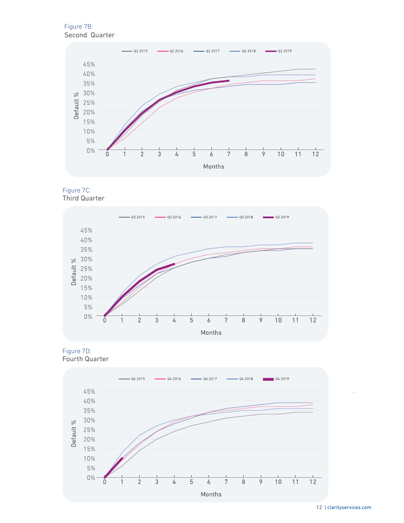Second Quarter Figure 7B:



Third Quarter Figure 7C:







\*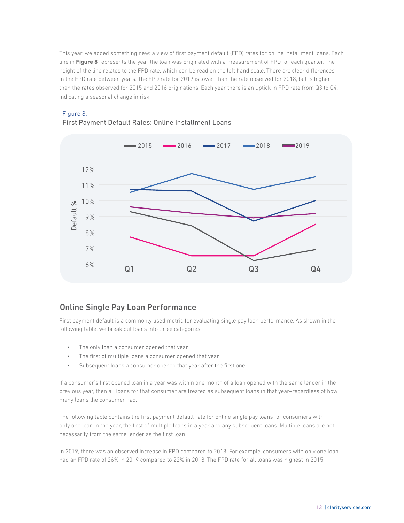This year, we added something new: a view of first payment default (FPD) rates for online installment loans. Each line in **Figure 8** represents the year the loan was originated with a measurement of FPD for each quarter. The height of the line relates to the FPD rate, which can be read on the left hand scale. There are clear differences in the FPD rate between years. The FPD rate for 2019 is lower than the rate observed for 2018, but is higher than the rates observed for 2015 and 2016 originations. Each year there is an uptick in FPD rate from Q3 to Q4, indicating a seasonal change in risk.



#### Figure 8:

#### First Payment Default Rates: Online Installment Loans

#### Online Single Pay Loan Performance

First payment default is a commonly used metric for evaluating single pay loan performance. As shown in the following table, we break out loans into three categories:

- The only loan a consumer opened that year
- The first of multiple loans a consumer opened that year
- Subsequent loans a consumer opened that year after the first one

If a consumer's first opened loan in a year was within one month of a loan opened with the same lender in the previous year, then all loans for that consumer are treated as subsequent loans in that year–regardless of how many loans the consumer had.

The following table contains the first payment default rate for online single pay loans for consumers with only one loan in the year, the first of multiple loans in a year and any subsequent loans. Multiple loans are not necessarily from the same lender as the first loan.

In 2019, there was an observed increase in FPD compared to 2018. For example, consumers with only one loan had an FPD rate of 26% in 2019 compared to 22% in 2018. The FPD rate for all loans was highest in 2015.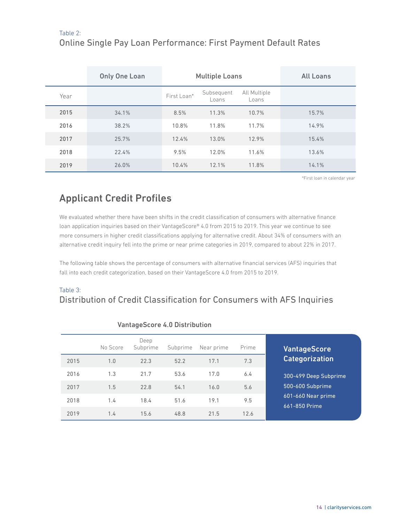#### Table 2:

#### Online Single Pay Loan Performance: First Payment Default Rates

|      | <b>Only One Loan</b> | <b>Multiple Loans</b> |                     |                       | <b>All Loans</b> |
|------|----------------------|-----------------------|---------------------|-----------------------|------------------|
| Year |                      | First Loan*           | Subsequent<br>Loans | All Multiple<br>Loans |                  |
| 2015 | 34.1%                | 8.5%                  | 11.3%               | 10.7%                 | 15.7%            |
| 2016 | 38.2%                | 10.8%                 | 11.8%               | 11.7%                 | 14.9%            |
| 2017 | 25.7%                | 12.4%                 | 13.0%               | 12.9%                 | 15.4%            |
| 2018 | 22.4%                | 9.5%                  | 12.0%               | 11.6%                 | 13.6%            |
| 2019 | 26.0%                | 10.4%                 | 12.1%               | 11.8%                 | 14.1%            |

\*First loan in calendar year

#### Applicant Credit Profiles

We evaluated whether there have been shifts in the credit classification of consumers with alternative finance loan application inquiries based on their VantageScore® 4.0 from 2015 to 2019. This year we continue to see more consumers in higher credit classifications applying for alternative credit. About 34% of consumers with an alternative credit inquiry fell into the prime or near prime categories in 2019, compared to about 22% in 2017.

The following table shows the percentage of consumers with alternative financial services (AFS) inquiries that fall into each credit categorization, based on their VantageScore 4.0 from 2015 to 2019.

#### Table 3: Distribution of Credit Classification for Consumers with AFS Inquiries

|      | No Score | Deep<br>Subprime | Subprime | Near prime | Prime |
|------|----------|------------------|----------|------------|-------|
| 2015 | 1.0      | 22.3             | 52.2     | 17.1       | 7.3   |
| 2016 | 1.3      | 21.7             | 53.6     | 17.0       | 6.4   |
| 2017 | 1.5      | 22.8             | 54.1     | 16.0       | 5.6   |
| 2018 | 1.4      | 18.4             | 51.6     | 19.1       | 9.5   |
| 2019 | 1.4      | 15.6             | 48.8     | 21.5       | 12.6  |

#### VantageScore 4.0 Distribution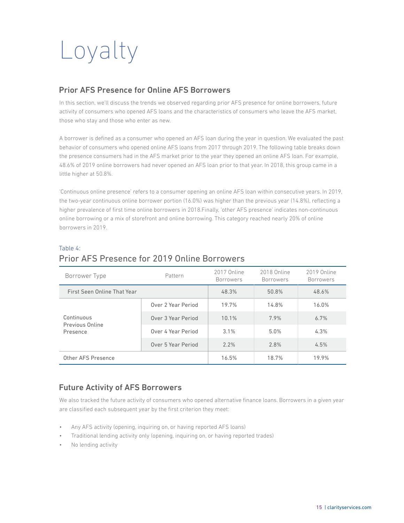# Loyalty

#### Prior AFS Presence for Online AFS Borrowers

In this section, we'll discuss the trends we observed regarding prior AFS presence for online borrowers, future activity of consumers who opened AFS loans and the characteristics of consumers who leave the AFS market, those who stay and those who enter as new.

A borrower is defined as a consumer who opened an AFS loan during the year in question. We evaluated the past behavior of consumers who opened online AFS loans from 2017 through 2019. The following table breaks down the presence consumers had in the AFS market prior to the year they opened an online AFS loan. For example, 48.6% of 2019 online borrowers had never opened an AFS loan prior to that year. In 2018, this group came in a little higher at 50.8%.

'Continuous online presence' refers to a consumer opening an online AFS loan within consecutive years. In 2019, the two-year continuous online borrower portion (16.0%) was higher than the previous year (14.8%), reflecting a higher prevalence of first time online borrowers in 2018.Finally, 'other AFS presence' indicates non-continuous online borrowing or a mix of storefront and online borrowing. This category reached nearly 20% of online borrowers in 2019.

| Borrower Type                 | Pattern            | 2017 Online<br><b>Borrowers</b> | 2018 Online<br><b>Borrowers</b> | 2019 Online<br><b>Borrowers</b> |
|-------------------------------|--------------------|---------------------------------|---------------------------------|---------------------------------|
| First Seen Online That Year   | 48.3%              | 50.8%                           | 48.6%                           |                                 |
|                               | Over 2 Year Period | 19.7%                           | 14.8%                           | 16.0%                           |
| Continuous<br>Previous Online | Over 3 Year Period | 10.1%                           | 7.9%                            | 6.7%                            |
| Presence                      | Over 4 Year Period | 3.1%                            | 5.0%                            | 4.3%                            |
|                               | Over 5 Year Period | 2.2%                            | 2.8%                            | 4.5%                            |
| Other AFS Presence            | 16.5%              | 18.7%                           | 19.9%                           |                                 |

#### Table 4: Prior AFS Presence for 2019 Online Borrowers

#### Future Activity of AFS Borrowers

We also tracked the future activity of consumers who opened alternative finance loans. Borrowers in a given year are classified each subsequent year by the first criterion they meet:

- Any AFS activity (opening, inquiring on, or having reported AFS loans)
- Traditional lending activity only (opening, inquiring on, or having reported trades)
- No lending activity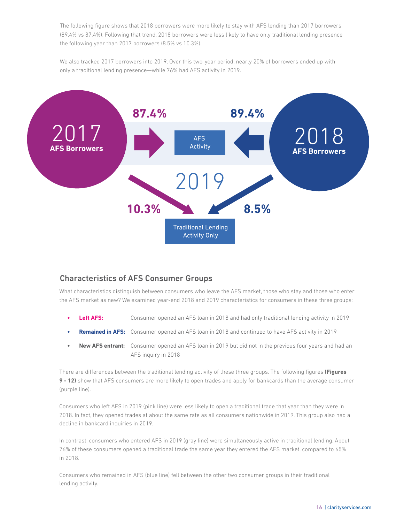The following figure shows that 2018 borrowers were more likely to stay with AFS lending than 2017 borrowers (89.4% vs 87.4%). Following that trend, 2018 borrowers were less likely to have only traditional lending presence the following year than 2017 borrowers (8.5% vs 10.3%).

We also tracked 2017 borrowers into 2019. Over this two-year period, nearly 20% of borrowers ended up with only a traditional lending presence—while 76% had AFS activity in 2019.



#### Characteristics of AFS Consumer Groups

What characteristics distinguish between consumers who leave the AFS market, those who stay and those who enter the AFS market as new? We examined year-end 2018 and 2019 characteristics for consumers in these three groups:

- **Left AFS:** Consumer opened an AFS loan in 2018 and had only traditional lending activity in 2019
- **• Remained in AFS:** Consumer opened an AFS loan in 2018 and continued to have AFS activity in 2019
- **• New AFS entrant:** Consumer opened an AFS loan in 2019 but did not in the previous four years and had an AFS inquiry in 2018

There are differences between the traditional lending activity of these three groups. The following figures **(Figures 9 - 12)** show that AFS consumers are more likely to open trades and apply for bankcards than the average consumer (purple line).

Consumers who left AFS in 2019 (pink line) were less likely to open a traditional trade that year than they were in 2018. In fact, they opened trades at about the same rate as all consumers nationwide in 2019. This group also had a decline in bankcard inquiries in 2019.

In contrast, consumers who entered AFS in 2019 (gray line) were simultaneously active in traditional lending. About 76% of these consumers opened a traditional trade the same year they entered the AFS market, compared to 65% in 2018.

Consumers who remained in AFS (blue line) fell between the other two consumer groups in their traditional lending activity.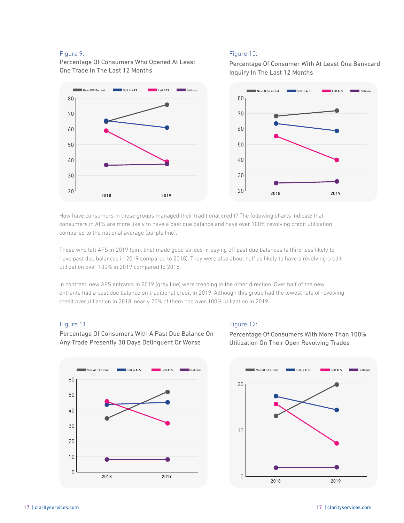#### Figure 9:

Percentage Of Consumers Who Opened At Least One Trade In The Last 12 Months



How have consumers in these groups managed their traditional credit? The following charts indicate that consumers in AFS are more likely to have a past due balance and have over 100% revolving credit utilization compared to the national average (purple line).

Those who left AFS in 2019 (pink line) made good strides in paying off past due balances (a third less likely to have past due balances in 2019 compared to 2018). They were also about half as likely to have a revolving credit utilization over 100% in 2019 compared to 2018.

In contrast, new AFS entrants in 2019 (gray line) were trending in the other direction. Over half of the new entrants had a past due balance on traditional credit in 2019. Although this group had the lowest rate of revolving credit overutilization in 2018, nearly 20% of them had over 100% utilization in 2019.

#### Figure 11:



Percentage Of Consumers With A Past Due Balance On Any Trade Presently 30 Days Delinquent Or Worse

#### Figure 12:

Percentage Of Consumers With More Than 100% Utilization On Their Open Revolving Trades



#### Figure 10:

Percentage Of Consumer With At Least One Bankcard Inquiry In The Last 12 Months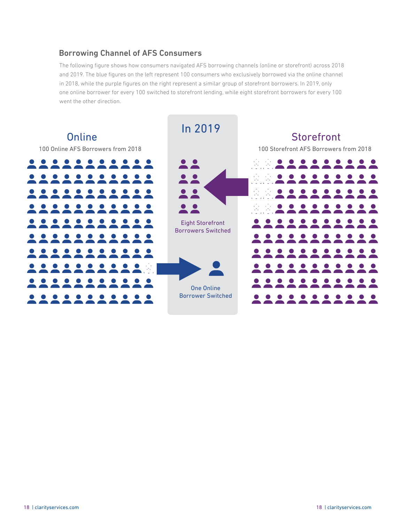#### Borrowing Channel of AFS Consumers

The following figure shows how consumers navigated AFS borrowing channels (online or storefront) across 2018 and 2019. The blue figures on the left represent 100 consumers who exclusively borrowed via the online channel in 2018, while the purple figures on the right represent a similar group of storefront borrowers. In 2019, only one online borrower for every 100 switched to storefront lending, while eight storefront borrowers for every 100 went the other direction.

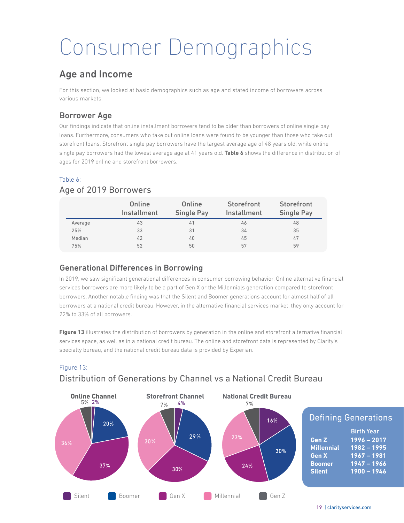## Consumer Demographics

### Age and Income

For this section, we looked at basic demographics such as age and stated income of borrowers across various markets.

#### Borrower Age

Our findings indicate that online installment borrowers tend to be older than borrowers of online single pay loans. Furthermore, consumers who take out online loans were found to be younger than those who take out storefront loans. Storefront single pay borrowers have the largest average age of 48 years old, while online single pay borrowers had the lowest average age at 41 years old. **Table 6** shows the difference in distribution of ages for 2019 online and storefront borrowers.

#### Table 6:

#### Age of 2019 Borrowers

|         | Online<br><b>Installment</b> | Online<br><b>Single Pay</b> | <b>Storefront</b><br>Installment | Storefront<br><b>Single Pay</b> |
|---------|------------------------------|-----------------------------|----------------------------------|---------------------------------|
| Average | 43                           | 41                          | 46                               | 48                              |
| 25%     | 33                           | 31                          | 34                               | 35                              |
| Median  | 42                           | 40                          | 45                               | 47                              |
| 75%     | 52                           | 50                          | 57                               | 59                              |

#### Generational Differences in Borrowing

In 2019, we saw significant generational differences in consumer borrowing behavior. Online alternative financial services borrowers are more likely to be a part of Gen X or the Millennials generation compared to storefront borrowers. Another notable finding was that the Silent and Boomer generations account for almost half of all borrowers at a national credit bureau. However, in the alternative financial services market, they only account for 22% to 33% of all borrowers.

**Figure 13** illustrates the distribution of borrowers by generation in the online and storefront alternative financial services space, as well as in a national credit bureau. The online and storefront data is represented by Clarity's specialty bureau, and the national credit bureau data is provided by Experian.

#### Distribution of Generations by Channel vs a National Credit Bureau Figure 13:

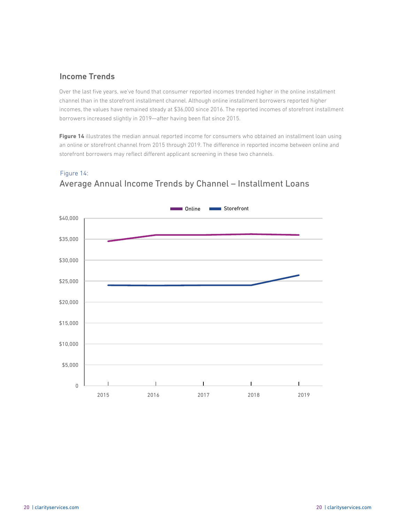#### Income Trends

Figure 14:

Over the last five years, we've found that consumer reported incomes trended higher in the online installment channel than in the storefront installment channel. Although online installment borrowers reported higher incomes, the values have remained steady at \$36,000 since 2016. The reported incomes of storefront installment borrowers increased slightly in 2019—after having been flat since 2015.

**Figure 14** illustrates the median annual reported income for consumers who obtained an installment loan using an online or storefront channel from 2015 through 2019. The difference in reported income between online and storefront borrowers may reflect different applicant screening in these two channels.



### Average Annual Income Trends by Channel – Installment Loans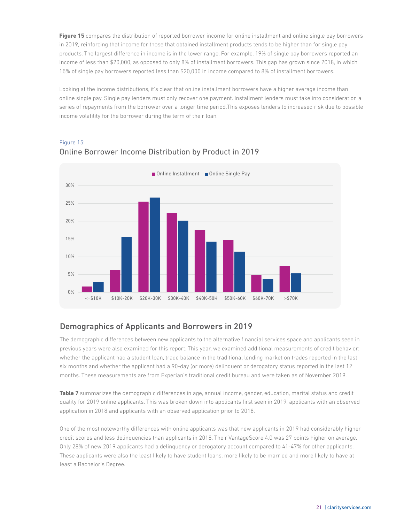**Figure 15** compares the distribution of reported borrower income for online installment and online single pay borrowers in 2019, reinforcing that income for those that obtained installment products tends to be higher than for single pay products. The largest difference in income is in the lower range. For example, 19% of single pay borrowers reported an income of less than \$20,000, as opposed to only 8% of installment borrowers. This gap has grown since 2018, in which 15% of single pay borrowers reported less than \$20,000 in income compared to 8% of installment borrowers.

Looking at the income distributions, it's clear that online installment borrowers have a higher average income than online single pay. Single pay lenders must only recover one payment. Installment lenders must take into consideration a series of repayments from the borrower over a longer time period.This exposes lenders to increased risk due to possible income volatility for the borrower during the term of their loan.



#### Online Borrower Income Distribution by Product in 2019 Figure 15:

#### Demographics of Applicants and Borrowers in 2019

The demographic differences between new applicants to the alternative financial services space and applicants seen in previous years were also examined for this report. This year, we examined additional measurements of credit behavior: whether the applicant had a student loan, trade balance in the traditional lending market on trades reported in the last six months and whether the applicant had a 90-day (or more) delinquent or derogatory status reported in the last 12 months. These measurements are from Experian's traditional credit bureau and were taken as of November 2019.

**Table 7** summarizes the demographic differences in age, annual income, gender, education, marital status and credit quality for 2019 online applicants. This was broken down into applicants first seen in 2019, applicants with an observed application in 2018 and applicants with an observed application prior to 2018.

One of the most noteworthy differences with online applicants was that new applicants in 2019 had considerably higher credit scores and less delinquencies than applicants in 2018. Their VantageScore 4.0 was 27 points higher on average. Only 28% of new 2019 applicants had a delinquency or derogatory account compared to 41-47% for other applicants. These applicants were also the least likely to have student loans, more likely to be married and more likely to have at least a Bachelor's Degree.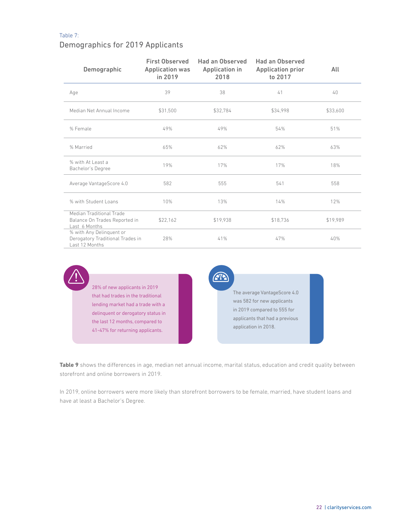#### Table 7:

#### Demographics for 2019 Applicants

| Demographic                                                                    | <b>First Observed</b><br><b>Application was</b><br>in 2019 | Had an Observed<br><b>Application in</b><br>2018 | <b>Had an Observed</b><br><b>Application prior</b><br>to 2017 | All      |
|--------------------------------------------------------------------------------|------------------------------------------------------------|--------------------------------------------------|---------------------------------------------------------------|----------|
| Age                                                                            | 39                                                         | 38                                               | 41                                                            | 40       |
| Median Net Annual Income                                                       | \$31,500                                                   | \$32.784                                         | \$34,998                                                      | \$33,600 |
| % Female                                                                       | 49%                                                        | 49%                                              | 54%                                                           | 51%      |
| % Married                                                                      | 65%                                                        | 62%                                              | 62%                                                           | 63%      |
| % with At Least a<br>Bachelor's Degree                                         | 19%                                                        | 17%                                              | 17%                                                           | 18%      |
| Average VantageScore 4.0                                                       | 582                                                        | 555                                              | 541                                                           | 558      |
| % with Student Loans                                                           | 10%                                                        | 13%                                              | 14%                                                           | 12%      |
| Median Traditional Trade<br>Balance On Trades Reported in<br>Last 6 Months     | \$22,162                                                   | \$19,938                                         | \$18,736                                                      | \$19,989 |
| % with Any Delinquent or<br>Derogatory Traditional Trades in<br>Last 12 Months | 28%                                                        | 41%                                              | 47%                                                           | 40%      |

**ATE** 28% of new applicants in 2019 The average VantageScore 4.0 that had trades in the traditional was 582 for new applicants lending market had a trade with a in 2019 compared to 555 for delinquent or derogatory status in applicants that had a previous the last 12 months, compared to application in 2018. 41-47% for returning applicants.

**Table 9** shows the differences in age, median net annual income, marital status, education and credit quality between storefront and online borrowers in 2019.

In 2019, online borrowers were more likely than storefront borrowers to be female, married, have student loans and have at least a Bachelor's Degree.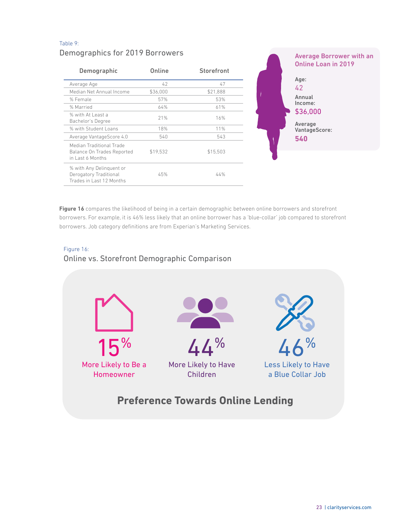#### Demographics for 2019 Borrowers Table 9: Demographic **Online** Storefront Average Age 42 42 Median Net Annual Income \$36,000 \$21,888 % Female 57% 53% % Married 64% 61% % with At Least a % with At Least a metal of the 21% 16% 16% 16% % with Student Loans 18% 18% 11% Average VantageScore 4.0 540 540 Median Traditional Trade Balance On Trades Reported in Last 6 Months \$19,532 \$15,503 % with Any Delinquent or Derogatory Traditional Trades in Last 12 Months 45% 44% Average Borrower with an Online Loan in 2019 Age: 42 Annual Income: \$36,000 Average VantageScore: **540**

**Figure 16** compares the likelihood of being in a certain demographic between online borrowers and storefront borrowers. For example, it is 46% less likely that an online borrower has a 'blue-collar' job compared to storefront borrowers. Job category definitions are from Experian's Marketing Services.

#### Online vs. Storefront Demographic Comparison Figure 16:

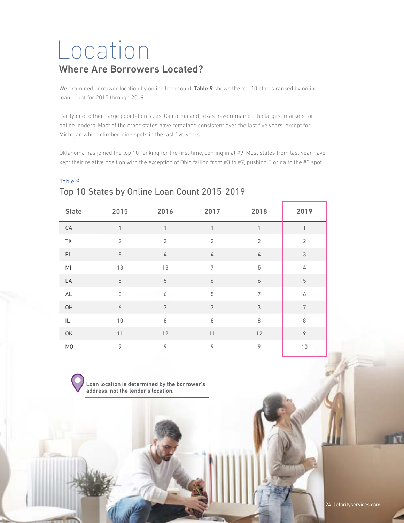## Location Where Are Borrowers Located?

We examined borrower location by online loan count. **Table 9** shows the top 10 states ranked by online loan count for 2015 through 2019.

Partly due to their large population sizes, California and Texas have remained the largest markets for online lenders. Most of the other states have remained consistent over the last five years, except for Michigan which climbed nine spots in the last five years.

Oklahoma has joined the top 10 ranking for the first time, coming in at #9. Most states from last year have kept their relative position with the exception of Ohio falling from #3 to #7, pushing Florida to the #3 spot.

| Table 9: |                                              |  |  |  |
|----------|----------------------------------------------|--|--|--|
|          | Top 10 States by Online Loan Count 2015-2019 |  |  |  |

| <b>State</b>   | 2015             | 2016             | 2017             | 2018             | 2019                      |
|----------------|------------------|------------------|------------------|------------------|---------------------------|
| $\mathsf{CA}$  | 1                | 1                | $\mathbf{1}$     | 1                | 1                         |
| <b>TX</b>      | $\overline{2}$   | $\overline{2}$   | $\overline{2}$   | $\overline{2}$   | $\overline{2}$            |
| $\mathsf{FL}$  | $\,8\,$          | $\sqrt{ }$       | 4                | $\sqrt{ }$       | $\ensuremath{\mathsf{3}}$ |
| $\mathsf{MI}$  | 13               | 13               | $\sqrt{ }$       | $\mathbf 5$      | $\sqrt{4}$                |
| LA             | $\mathbf 5$      | $\mathbf 5$      | $\boldsymbol{6}$ | $\boldsymbol{6}$ | $\mathbf 5$               |
| $\mathsf{AL}$  | 3                | $\boldsymbol{6}$ | $\overline{5}$   | $\overline{7}$   | $\boldsymbol{6}$          |
| OH             | $\boldsymbol{6}$ | $\sqrt{3}$       | $\sqrt{3}$       | $\mathfrak{Z}$   | $\overline{7}$            |
| IL             | $10$             | 8                | 8                | $\,8\,$          | 8                         |
| OK             | $11$             | 12               | $11$             | 12               | $\circ$                   |
| M <sub>0</sub> | 9                | $\mathcal{P}$    | $\circ$          | 9                | 10                        |

Loan location is determined by the borrower's address, not the lender's location.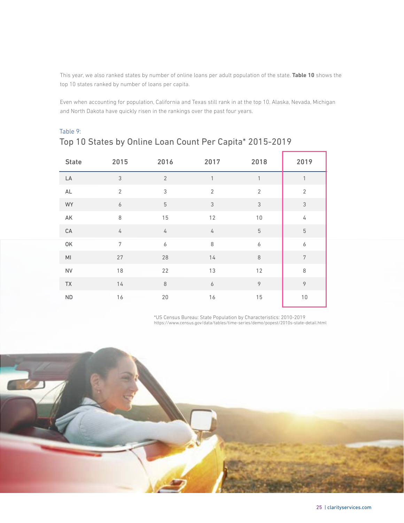This year, we also ranked states by number of online loans per adult population of the state. **Table 10** shows the top 10 states ranked by number of loans per capita.

Even when accounting for population, California and Texas still rank in at the top 10. Alaska, Nevada, Michigan and North Dakota have quickly risen in the rankings over the past four years.

| <b>State</b>           | 2015             | 2016             | 2017             | 2018             | 2019             |
|------------------------|------------------|------------------|------------------|------------------|------------------|
| LA                     | $\sqrt{3}$       | $\overline{2}$   | $\mathbf{1}$     | 1                | $\mathbf{1}$     |
| $\mathsf{AL}$          | $\overline{2}$   | $\mathsf 3$      | $\overline{2}$   | $\overline{2}$   | $\sqrt{2}$       |
| WY                     | $\boldsymbol{6}$ | $\mathbf 5$      | $\mathfrak{Z}$   | $\mathfrak{Z}$   | $\mathfrak{Z}$   |
| AK                     | $\,8\,$          | 15               | 12               | $10$             | 4                |
| $\mathsf{CA}$          | $\sqrt{4}$       | $\sqrt{4}$       | 4                | $\mathbf 5$      | $\mathbf 5$      |
| OK                     | $\overline{7}$   | $\boldsymbol{6}$ | $\,8\,$          | $\boldsymbol{6}$ | $\boldsymbol{6}$ |
| $\mathsf{M}\mathsf{l}$ | 27               | 28               | 14               | $\,8\,$          | $\sqrt{ }$       |
| ${\sf NV}$             | 18               | 22               | 13               | 12               | $\,8\,$          |
| TX                     | $14$             | $\,8\,$          | $\boldsymbol{6}$ | $\circ$          | $\circ$          |
| $\sf ND$               | 16               | $20\,$           | 16               | 15               | $10$             |

#### Top 10 States by Online Loan Count Per Capita\* 2015-2019 Table 9:

\*US Census Bureau: State Population by Characteristics: 2010-2019 https://www.census.gov/data/tables/time-series/demo/popest/2010s-state-detail.html

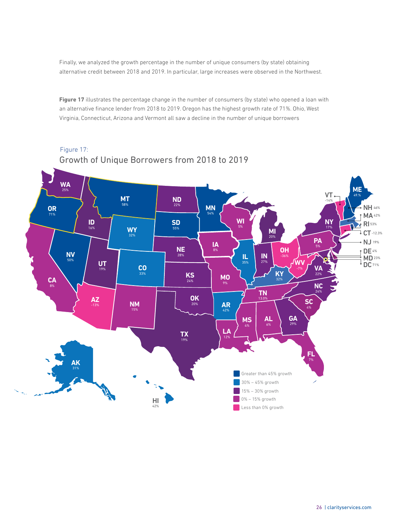Finally, we analyzed the growth percentage in the number of unique consumers (by state) obtaining alternative credit between 2018 and 2019. In particular, large increases were observed in the Northwest.

**Figure 17** illustrates the percentage change in the number of consumers (by state) who opened a loan with an alternative finance lender from 2018 to 2019. Oregon has the highest growth rate of 71%. Ohio, West Virginia, Connecticut, Arizona and Vermont all saw a decline in the number of unique borrowers

#### Growth of Unique Borrowers from 2018 to 2019 Figure 17:

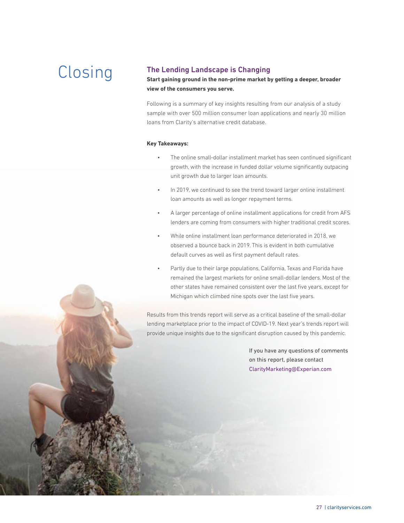### CLOSING<br>
Start gaining ground in the non-prime market by<br>
Start gaining ground in the non-prime market by

**Start gaining ground in the non-prime market by getting a deeper, broader view of the consumers you serve.**

Following is a summary of key insights resulting from our analysis of a study sample with over 500 million consumer loan applications and nearly 30 million loans from Clarity's alternative credit database.

#### **Key Takeaways:**

- The online small-dollar installment market has seen continued significant growth, with the increase in funded dollar volume significantly outpacing unit growth due to larger loan amounts.
- In 2019, we continued to see the trend toward larger online installment loan amounts as well as longer repayment terms.
- A larger percentage of online installment applications for credit from AFS lenders are coming from consumers with higher traditional credit scores.
- While online installment loan performance deteriorated in 2018, we observed a bounce back in 2019. This is evident in both cumulative default curves as well as first payment default rates.
- Partly due to their large populations, California, Texas and Florida have remained the largest markets for online small-dollar lenders. Most of the other states have remained consistent over the last five years, except for Michigan which climbed nine spots over the last five years.

Results from this trends report will serve as a critical baseline of the small-dollar lending marketplace prior to the impact of COVID-19. Next year's trends report will provide unique insights due to the significant disruption caused by this pandemic.

> If you have any questions of comments on this report, please contact ClarityMarketing@Experian.com